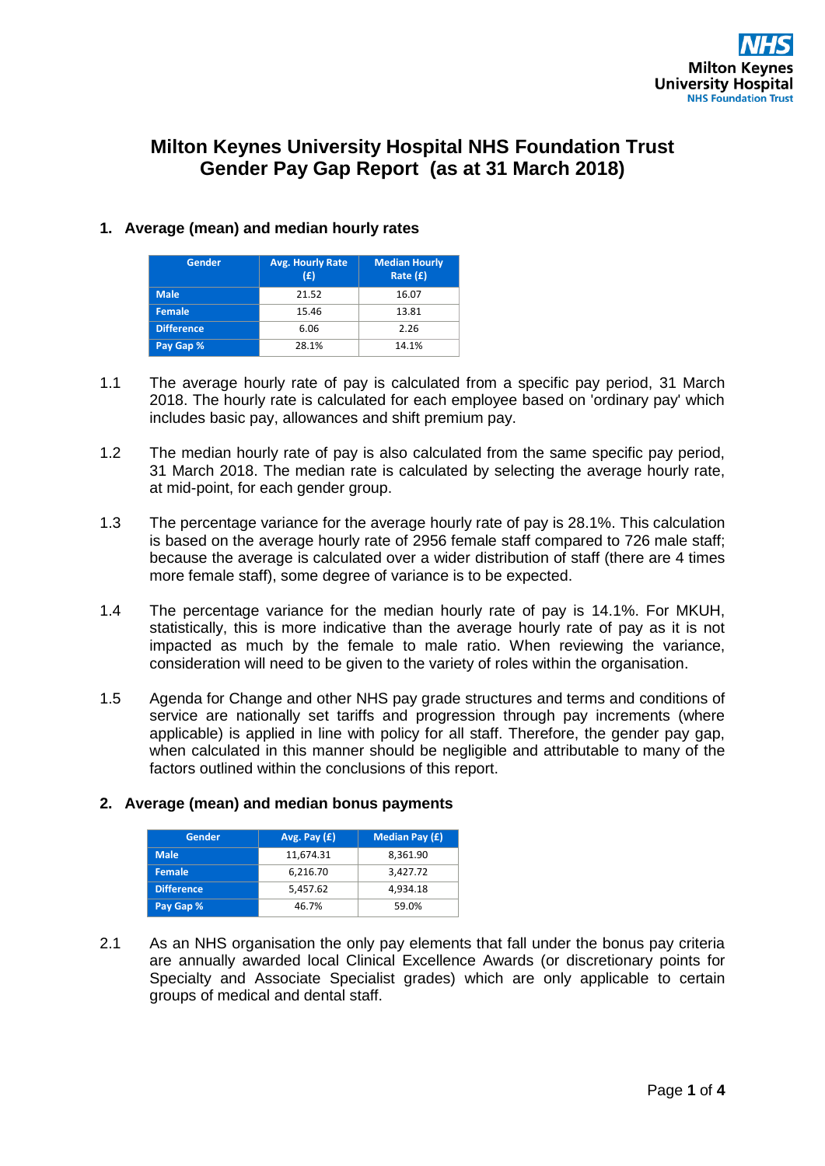# **Milton Keynes University Hospital NHS Foundation Trust Gender Pay Gap Report (as at 31 March 2018)**

## **1. Average (mean) and median hourly rates**

| Gender            | <b>Avg. Hourly Rate</b><br>(E) | <b>Median Hourly</b><br>Rate $(f)$ |  |
|-------------------|--------------------------------|------------------------------------|--|
| <b>Male</b>       | 21.52                          | 16.07                              |  |
| <b>Female</b>     | 15.46                          | 13.81                              |  |
| <b>Difference</b> | 6.06                           | 2.26                               |  |
| Pay Gap %         | 28.1%                          | 14.1%                              |  |

- 1.1 The average hourly rate of pay is calculated from a specific pay period, 31 March 2018. The hourly rate is calculated for each employee based on 'ordinary pay' which includes basic pay, allowances and shift premium pay.
- 1.2 The median hourly rate of pay is also calculated from the same specific pay period, 31 March 2018. The median rate is calculated by selecting the average hourly rate, at mid-point, for each gender group.
- 1.3 The percentage variance for the average hourly rate of pay is 28.1%. This calculation is based on the average hourly rate of 2956 female staff compared to 726 male staff; because the average is calculated over a wider distribution of staff (there are 4 times more female staff), some degree of variance is to be expected.
- 1.4 The percentage variance for the median hourly rate of pay is 14.1%. For MKUH, statistically, this is more indicative than the average hourly rate of pay as it is not impacted as much by the female to male ratio. When reviewing the variance, consideration will need to be given to the variety of roles within the organisation.
- 1.5 Agenda for Change and other NHS pay grade structures and terms and conditions of service are nationally set tariffs and progression through pay increments (where applicable) is applied in line with policy for all staff. Therefore, the gender pay gap, when calculated in this manner should be negligible and attributable to many of the factors outlined within the conclusions of this report.

### **2. Average (mean) and median bonus payments**

| Gender            | Avg. Pay $(E)$ | <b>Median Pay (£)</b> |  |
|-------------------|----------------|-----------------------|--|
| <b>Male</b>       | 11.674.31      | 8.361.90              |  |
| Female            | 6,216.70       | 3,427.72              |  |
| <b>Difference</b> | 5,457.62       | 4.934.18              |  |
| Pay Gap %         | 46.7%          | 59.0%                 |  |

2.1 As an NHS organisation the only pay elements that fall under the bonus pay criteria are annually awarded local Clinical Excellence Awards (or discretionary points for Specialty and Associate Specialist grades) which are only applicable to certain groups of medical and dental staff.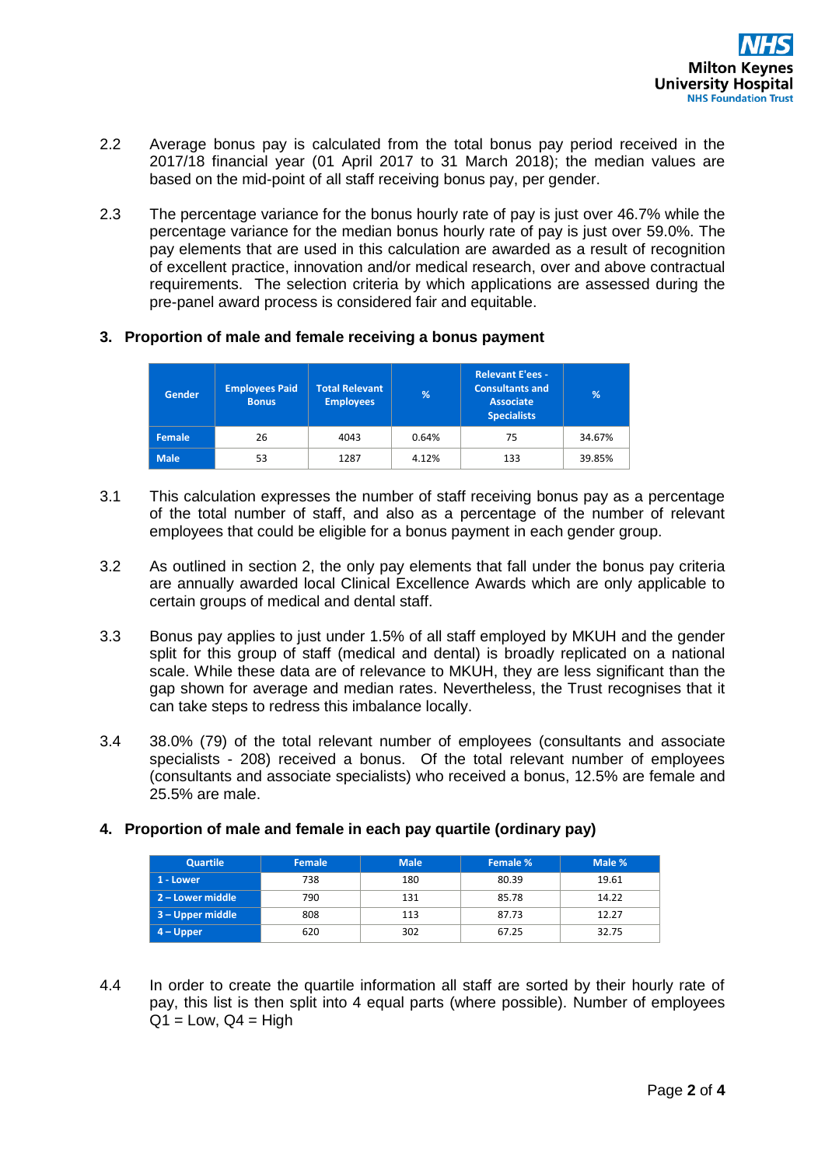- 2.2 Average bonus pay is calculated from the total bonus pay period received in the 2017/18 financial year (01 April 2017 to 31 March 2018); the median values are based on the mid-point of all staff receiving bonus pay, per gender.
- 2.3 The percentage variance for the bonus hourly rate of pay is just over 46.7% while the percentage variance for the median bonus hourly rate of pay is just over 59.0%. The pay elements that are used in this calculation are awarded as a result of recognition of excellent practice, innovation and/or medical research, over and above contractual requirements. The selection criteria by which applications are assessed during the pre-panel award process is considered fair and equitable.

### **3. Proportion of male and female receiving a bonus payment**

| <b>Gender</b> | <b>Employees Paid</b><br><b>Bonus</b> | <b>Total Relevant</b><br><b>Employees</b> | %     | <b>Relevant E'ees -</b><br><b>Consultants and</b><br><b>Associate</b><br><b>Specialists</b> | %      |
|---------------|---------------------------------------|-------------------------------------------|-------|---------------------------------------------------------------------------------------------|--------|
| <b>Female</b> | 26                                    | 4043                                      | 0.64% | 75                                                                                          | 34.67% |
| <b>Male</b>   | 53                                    | 1287                                      | 4.12% | 133                                                                                         | 39.85% |

- 3.1 This calculation expresses the number of staff receiving bonus pay as a percentage of the total number of staff, and also as a percentage of the number of relevant employees that could be eligible for a bonus payment in each gender group.
- 3.2 As outlined in section 2, the only pay elements that fall under the bonus pay criteria are annually awarded local Clinical Excellence Awards which are only applicable to certain groups of medical and dental staff.
- 3.3 Bonus pay applies to just under 1.5% of all staff employed by MKUH and the gender split for this group of staff (medical and dental) is broadly replicated on a national scale. While these data are of relevance to MKUH, they are less significant than the gap shown for average and median rates. Nevertheless, the Trust recognises that it can take steps to redress this imbalance locally.
- 3.4 38.0% (79) of the total relevant number of employees (consultants and associate specialists - 208) received a bonus. Of the total relevant number of employees (consultants and associate specialists) who received a bonus, 12.5% are female and 25.5% are male.

| <b>Quartile</b>    | Female | <b>Male</b> | Female % | Male % |
|--------------------|--------|-------------|----------|--------|
| 1 - Lower          | 738    | 180         | 80.39    | 19.61  |
| 2 – Lower middle   | 790    | 131         | 85.78    | 14.22  |
| $3 - Upper$ middle | 808    | 113         | 87.73    | 12.27  |
| $4 - Upper$        | 620    | 302         | 67.25    | 32.75  |

### **4. Proportion of male and female in each pay quartile (ordinary pay)**

4.4 In order to create the quartile information all staff are sorted by their hourly rate of pay, this list is then split into 4 equal parts (where possible). Number of employees  $Q1 = Low, Q4 = High$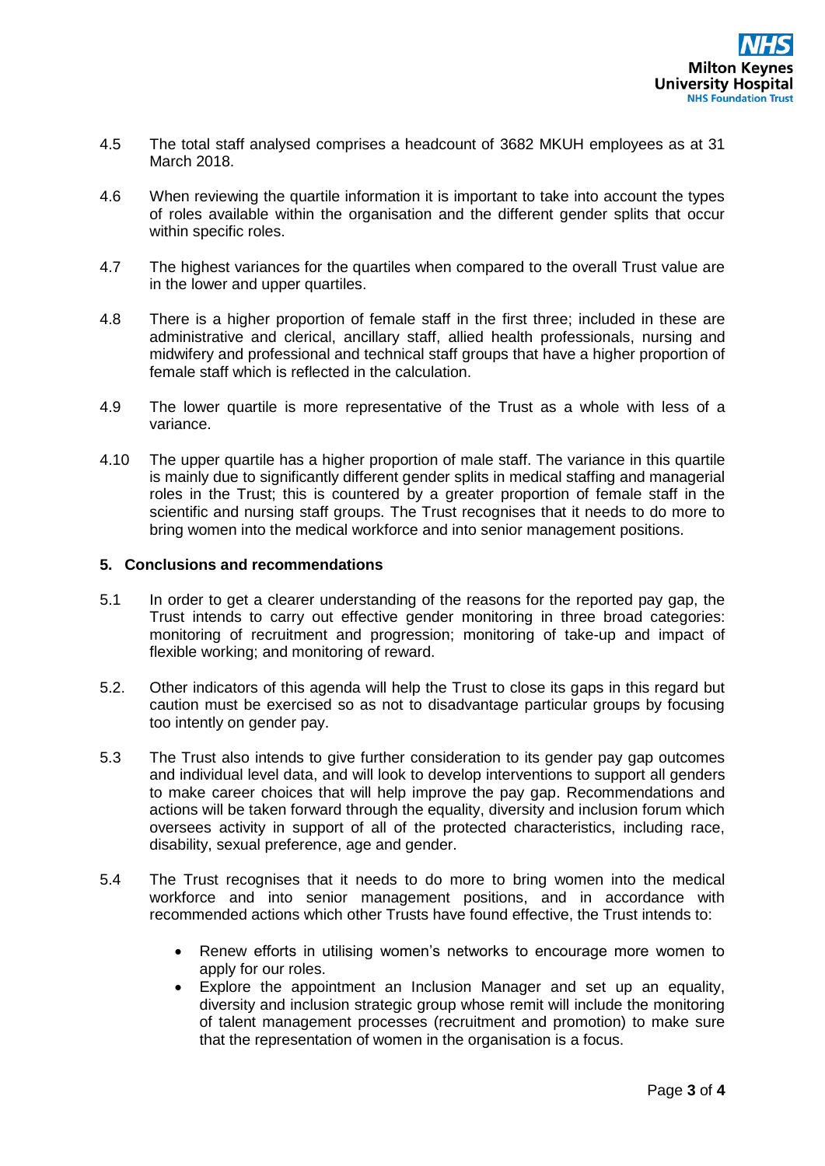- 4.5 The total staff analysed comprises a headcount of 3682 MKUH employees as at 31 March 2018.
- 4.6 When reviewing the quartile information it is important to take into account the types of roles available within the organisation and the different gender splits that occur within specific roles.
- 4.7 The highest variances for the quartiles when compared to the overall Trust value are in the lower and upper quartiles.
- 4.8 There is a higher proportion of female staff in the first three; included in these are administrative and clerical, ancillary staff, allied health professionals, nursing and midwifery and professional and technical staff groups that have a higher proportion of female staff which is reflected in the calculation.
- 4.9 The lower quartile is more representative of the Trust as a whole with less of a variance.
- 4.10 The upper quartile has a higher proportion of male staff. The variance in this quartile is mainly due to significantly different gender splits in medical staffing and managerial roles in the Trust; this is countered by a greater proportion of female staff in the scientific and nursing staff groups. The Trust recognises that it needs to do more to bring women into the medical workforce and into senior management positions.

#### **5. Conclusions and recommendations**

- 5.1 In order to get a clearer understanding of the reasons for the reported pay gap, the Trust intends to carry out effective gender monitoring in three broad categories: monitoring of recruitment and progression; monitoring of take-up and impact of flexible working; and monitoring of reward.
- 5.2. Other indicators of this agenda will help the Trust to close its gaps in this regard but caution must be exercised so as not to disadvantage particular groups by focusing too intently on gender pay.
- 5.3 The Trust also intends to give further consideration to its gender pay gap outcomes and individual level data, and will look to develop interventions to support all genders to make career choices that will help improve the pay gap. Recommendations and actions will be taken forward through the equality, diversity and inclusion forum which oversees activity in support of all of the protected characteristics, including race, disability, sexual preference, age and gender.
- 5.4 The Trust recognises that it needs to do more to bring women into the medical workforce and into senior management positions, and in accordance with recommended actions which other Trusts have found effective, the Trust intends to:
	- Renew efforts in utilising women's networks to encourage more women to apply for our roles.
	- Explore the appointment an Inclusion Manager and set up an equality, diversity and inclusion strategic group whose remit will include the monitoring of talent management processes (recruitment and promotion) to make sure that the representation of women in the organisation is a focus.